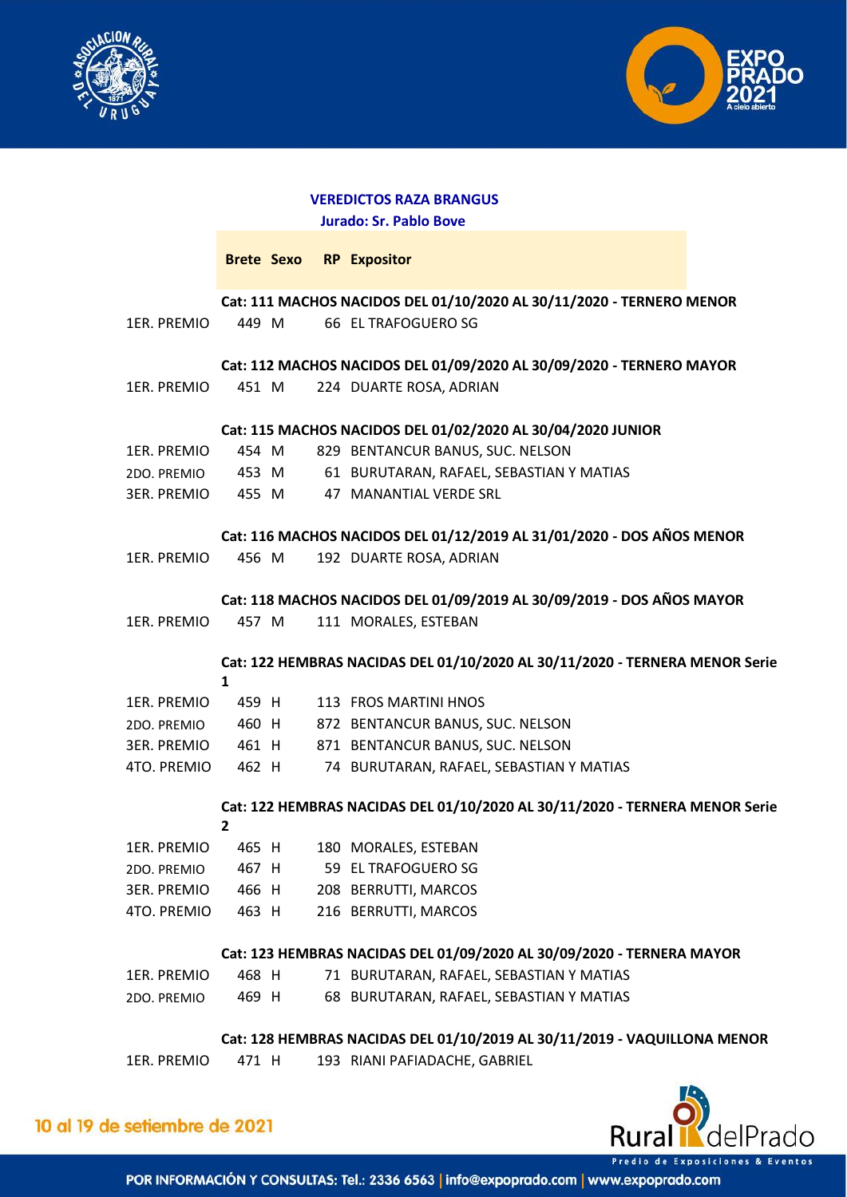



## **VEREDICTOS RAZA BRANGUS Jurado: Sr. Pablo Bove**

|  |  | Brete Sexo RP Expositor |  |
|--|--|-------------------------|--|
|  |  |                         |  |

**Cat: 111 MACHOS NACIDOS DEL 01/10/2020 AL 30/11/2020 - TERNERO MENOR** 

| 1ER. PREMIO 449 M | 66 EL TRAFOGUERO SG |  |
|-------------------|---------------------|--|

**Cat: 112 MACHOS NACIDOS DEL 01/09/2020 AL 30/09/2020 - TERNERO MAYOR** 

1ER. PREMIO 451 M 224 DUARTE ROSA, ADRIAN

#### **Cat: 115 MACHOS NACIDOS DEL 01/02/2020 AL 30/04/2020 JUNIOR**

| 1ER. PREMIO | 454 M |  | 829 BENTANCUR BANUS, SUC. NELSON         |
|-------------|-------|--|------------------------------------------|
| 2DO. PREMIO | 453 M |  | 61 BURUTARAN, RAFAEL, SEBASTIAN Y MATIAS |
| 3ER. PREMIO | 455 M |  | 47 MANANTIAL VERDE SRL                   |

### **Cat: 116 MACHOS NACIDOS DEL 01/12/2019 AL 31/01/2020 - DOS AÑOS MENOR**

1ER. PREMIO 456 M 192 DUARTE ROSA, ADRIAN

**Cat: 118 MACHOS NACIDOS DEL 01/09/2019 AL 30/09/2019 - DOS AÑOS MAYOR** 

1ER. PREMIO 457 M 111 MORALES, ESTEBAN

**Cat: 122 HEMBRAS NACIDAS DEL 01/10/2020 AL 30/11/2020 - TERNERA MENOR Serie 1** 

| 1ER. PREMIO | 459 H |  | 113 FROS MARTINI HNOS                    |
|-------------|-------|--|------------------------------------------|
| 2DO. PREMIO | 460 H |  | 872 BENTANCUR BANUS, SUC. NELSON         |
| 3ER. PREMIO | 461 H |  | 871 BENTANCUR BANUS, SUC. NELSON         |
| 4TO. PREMIO | 462 H |  | 74 BURUTARAN, RAFAEL, SEBASTIAN Y MATIAS |

# **Cat: 122 HEMBRAS NACIDAS DEL 01/10/2020 AL 30/11/2020 - TERNERA MENOR Serie**

| 1ER. PREMIO        | 465 H | 180 MORALES, ESTEBAN |
|--------------------|-------|----------------------|
| 2DO. PREMIO        | 467 H | 59 EL TRAFOGUERO SG  |
| <b>3ER. PREMIO</b> | 466 H | 208 BERRUTTI, MARCOS |
| 4TO. PREMIO        | 463 H | 216 BERRUTTI, MARCOS |
|                    |       |                      |

 $\mathbf{a}$ 

## **Cat: 123 HEMBRAS NACIDAS DEL 01/09/2020 AL 30/09/2020 - TERNERA MAYOR**

| 1ER. PREMIO | 468 H | 71 BURUTARAN, RAFAEL, SEBASTIAN Y MATIAS |
|-------------|-------|------------------------------------------|
| 2DO. PREMIO | 469 H | 68 BURUTARAN, RAFAEL, SEBASTIAN Y MATIAS |

# **Cat: 128 HEMBRAS NACIDAS DEL 01/10/2019 AL 30/11/2019 - VAQUILLONA MENOR**

1ER. PREMIO 471 H 193 RIANI PAFIADACHE, GABRIEL



10 al 19 de setiembre de 2021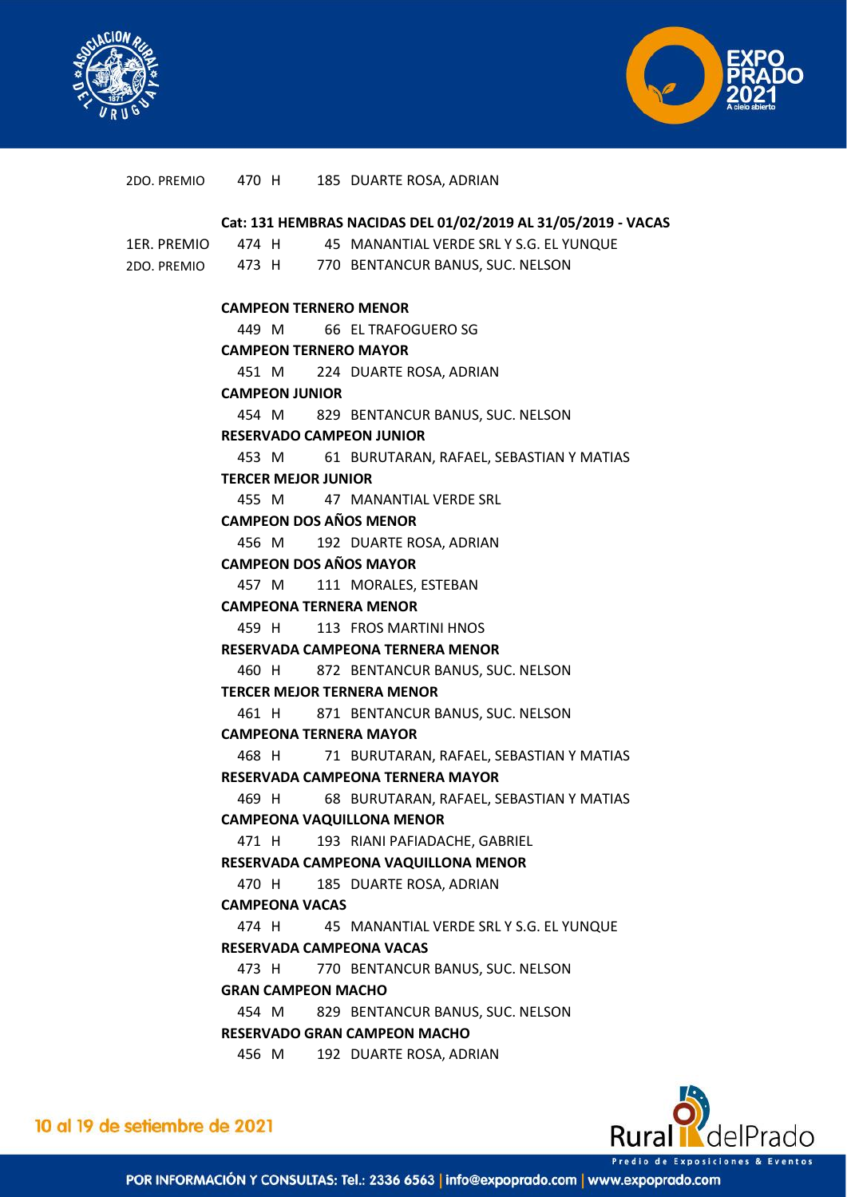



|             |                                                               |  | 2DO. PREMIO 470 H 185 DUARTE ROSA, ADRIAN          |  |  |  |  |  |
|-------------|---------------------------------------------------------------|--|----------------------------------------------------|--|--|--|--|--|
|             | Cat: 131 HEMBRAS NACIDAS DEL 01/02/2019 AL 31/05/2019 - VACAS |  |                                                    |  |  |  |  |  |
| 1ER. PREMIO |                                                               |  | 474 H 45 MANANTIAL VERDE SRL Y S.G. EL YUNQUE      |  |  |  |  |  |
|             |                                                               |  | 2DO. PREMIO 473 H 770 BENTANCUR BANUS, SUC. NELSON |  |  |  |  |  |
|             |                                                               |  |                                                    |  |  |  |  |  |
|             |                                                               |  | <b>CAMPEON TERNERO MENOR</b>                       |  |  |  |  |  |
|             |                                                               |  | 449 M 66 EL TRAFOGUERO SG                          |  |  |  |  |  |
|             |                                                               |  | <b>CAMPEON TERNERO MAYOR</b>                       |  |  |  |  |  |
|             |                                                               |  | 451 M 224 DUARTE ROSA, ADRIAN                      |  |  |  |  |  |
|             | <b>CAMPEON JUNIOR</b>                                         |  |                                                    |  |  |  |  |  |
|             |                                                               |  | 454 M 829 BENTANCUR BANUS, SUC. NELSON             |  |  |  |  |  |
|             |                                                               |  | <b>RESERVADO CAMPEON JUNIOR</b>                    |  |  |  |  |  |
|             | 453 M                                                         |  | 61 BURUTARAN, RAFAEL, SEBASTIAN Y MATIAS           |  |  |  |  |  |
|             | <b>TERCER MEJOR JUNIOR</b>                                    |  |                                                    |  |  |  |  |  |
|             |                                                               |  | 455 M 47 MANANTIAL VERDE SRL                       |  |  |  |  |  |
|             |                                                               |  | <b>CAMPEON DOS AÑOS MENOR</b>                      |  |  |  |  |  |
|             |                                                               |  | 456 M 192 DUARTE ROSA, ADRIAN                      |  |  |  |  |  |
|             | <b>CAMPEON DOS AÑOS MAYOR</b>                                 |  |                                                    |  |  |  |  |  |
|             |                                                               |  | 457 M 111 MORALES, ESTEBAN                         |  |  |  |  |  |
|             |                                                               |  | <b>CAMPEONA TERNERA MENOR</b>                      |  |  |  |  |  |
|             |                                                               |  | 459 H 113 FROS MARTINI HNOS                        |  |  |  |  |  |
|             |                                                               |  | RESERVADA CAMPEONA TERNERA MENOR                   |  |  |  |  |  |
|             |                                                               |  | 460 H 872 BENTANCUR BANUS, SUC. NELSON             |  |  |  |  |  |
|             |                                                               |  | <b>TERCER MEJOR TERNERA MENOR</b>                  |  |  |  |  |  |
|             |                                                               |  | 461 H 871 BENTANCUR BANUS, SUC. NELSON             |  |  |  |  |  |
|             | <b>CAMPEONA TERNERA MAYOR</b>                                 |  |                                                    |  |  |  |  |  |
|             | 468 H                                                         |  | 71 BURUTARAN, RAFAEL, SEBASTIAN Y MATIAS           |  |  |  |  |  |
|             |                                                               |  | RESERVADA CAMPEONA TERNERA MAYOR                   |  |  |  |  |  |
|             |                                                               |  | 469 H 68 BURUTARAN, RAFAEL, SEBASTIAN Y MATIAS     |  |  |  |  |  |
|             | <b>CAMPEONA VAQUILLONA MENOR</b>                              |  |                                                    |  |  |  |  |  |
|             | 471 H                                                         |  | 193 RIANI PAFIADACHE, GABRIEL                      |  |  |  |  |  |
|             |                                                               |  | RESERVADA CAMPEONA VAQUILLONA MENOR                |  |  |  |  |  |
|             | 470 H                                                         |  | 185 DUARTE ROSA, ADRIAN                            |  |  |  |  |  |
|             | <b>CAMPEONA VACAS</b>                                         |  |                                                    |  |  |  |  |  |
|             | 474 H                                                         |  | 45 MANANTIAL VERDE SRL Y S.G. EL YUNQUE            |  |  |  |  |  |
|             |                                                               |  | <b>RESERVADA CAMPEONA VACAS</b>                    |  |  |  |  |  |
|             | 473 H                                                         |  | 770 BENTANCUR BANUS, SUC. NELSON                   |  |  |  |  |  |
|             | <b>GRAN CAMPEON MACHO</b>                                     |  |                                                    |  |  |  |  |  |
|             | 454 M                                                         |  | 829 BENTANCUR BANUS, SUC. NELSON                   |  |  |  |  |  |
|             |                                                               |  | RESERVADO GRAN CAMPEON MACHO                       |  |  |  |  |  |
|             | 456 M                                                         |  | 192 DUARTE ROSA, ADRIAN                            |  |  |  |  |  |
|             |                                                               |  |                                                    |  |  |  |  |  |



10 al 19 de setiembre de 2021